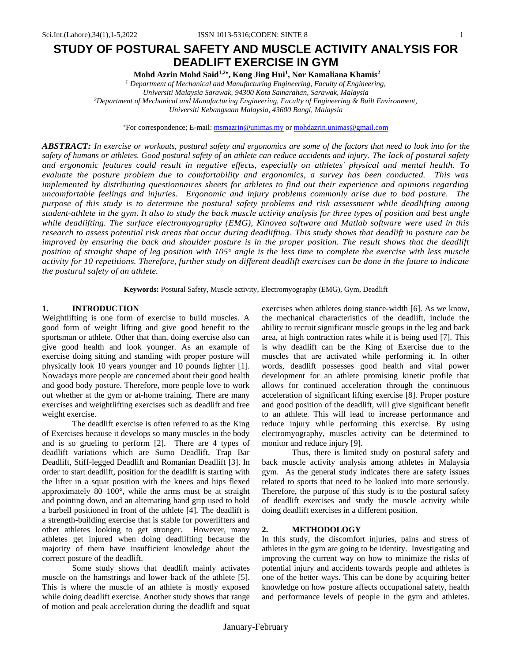# **STUDY OF POSTURAL SAFETY AND MUSCLE ACTIVITY ANALYSIS FOR DEADLIFT EXERCISE IN GYM**

**Mohd Azrin Mohd Said1,2 , Kong Jing Hui<sup>1</sup> , Nor Kamaliana Khamis<sup>2</sup>**

*<sup>1</sup> Department of Mechanical and Manufacturing Engineering, Faculty of Engineering, Universiti Malaysia Sarawak, 94300 Kota Samarahan, Sarawak, Malaysia <sup>2</sup>Department of Mechanical and Manufacturing Engineering, Faculty of Engineering & Built Environment, Universiti Kebangsaan Malaysia, 43600 Bangi, Malaysia*

For correspondence; E-mail[: msmazrin@unimas.my](mailto:msmazrin@unimas.my) or [mohdazrin.unimas@gmail.com](mailto:mohdazrin.unimas@gmail.com)

*ABSTRACT: In exercise or workouts, postural safety and ergonomics are some of the factors that need to look into for the safety of humans or athletes. Good postural safety of an athlete can reduce accidents and injury. The lack of postural safety and ergonomic features could result in negative effects, especially on athletes' physical and mental health. To evaluate the posture problem due to comfortability and ergonomics, a survey has been conducted. This was implemented by distributing questionnaires sheets for athletes to find out their experience and opinions regarding uncomfortable feelings and injuries. Ergonomic and injury problems commonly arise due to bad posture. The purpose of this study is to determine the postural safety problems and risk assessment while deadlifting among student-athlete in the gym. It also to study the back muscle activity analysis for three types of position and best angle while deadlifting. The surface electromyography (EMG), Kinovea software and Matlab software were used in this research to assess potential risk areas that occur during deadlifting. This study shows that deadlift in posture can be improved by ensuring the back and shoulder posture is in the proper position. The result shows that the deadlift position of straight shape of leg position with 105<sup>o</sup> angle is the less time to complete the exercise with less muscle activity for 10 repetitions. Therefore, further study on different deadlift exercises can be done in the future to indicate the postural safety of an athlete.*

**Keywords:** Postural Safety, Muscle activity, Electromyography (EMG), Gym, Deadlift

# **1. INTRODUCTION**

Weightlifting is one form of exercise to build muscles. A good form of weight lifting and give good benefit to the sportsman or athlete. Other that than, doing exercise also can give good health and look younger. As an example of exercise doing sitting and standing with proper posture will physically look 10 years younger and 10 pounds lighter [1]. Nowadays more people are concerned about their good health and good body posture. Therefore, more people love to work out whether at the gym or at-home training. There are many exercises and weightlifting exercises such as deadlift and free weight exercise.

The deadlift exercise is often referred to as the King of Exercises because it develops so many muscles in the body and is so grueling to perform [2]. There are 4 types of deadlift variations which are Sumo Deadlift, Trap Bar Deadlift, Stiff-legged Deadlift and Romanian Deadlift [3]. In order to start deadlift, position for the deadlift is starting with the lifter in a squat position with the knees and hips flexed approximately 80–100°, while the arms must be at straight and pointing down, and an alternating hand grip used to hold a barbell positioned in front of the athlete [4]. The deadlift is a strength-building exercise that is stable for powerlifters and other athletes looking to get stronger. However, many athletes get injured when doing deadlifting because the majority of them have insufficient knowledge about the correct posture of the deadlift.

Some study shows that deadlift mainly activates muscle on the hamstrings and lower back of the athlete [5]. This is where the muscle of an athlete is mostly exposed while doing deadlift exercise. Another study shows that range of motion and peak acceleration during the deadlift and squat exercises when athletes doing stance-width [6]. As we know, the mechanical characteristics of the deadlift, include the ability to recruit significant muscle groups in the leg and back area, at high contraction rates while it is being used [7]. This is why deadlift can be the King of Exercise due to the muscles that are activated while performing it. In other words, deadlift possesses good health and vital power development for an athlete promising kinetic profile that allows for continued acceleration through the continuous acceleration of significant lifting exercise [8]. Proper posture and good position of the deadlift, will give significant benefit to an athlete. This will lead to increase performance and reduce injury while performing this exercise. By using electromyography, muscles activity can be determined to monitor and reduce injury [9].

Thus, there is limited study on postural safety and back muscle activity analysis among athletes in Malaysia gym. As the general study indicates there are safety issues related to sports that need to be looked into more seriously. Therefore, the purpose of this study is to the postural safety of deadlift exercises and study the muscle activity while doing deadlift exercises in a different position.

### **2. METHODOLOGY**

In this study, the discomfort injuries, pains and stress of athletes in the gym are going to be identity. Investigating and improving the current way on how to minimize the risks of potential injury and accidents towards people and athletes is one of the better ways. This can be done by acquiring better knowledge on how posture affects occupational safety, health and performance levels of people in the gym and athletes.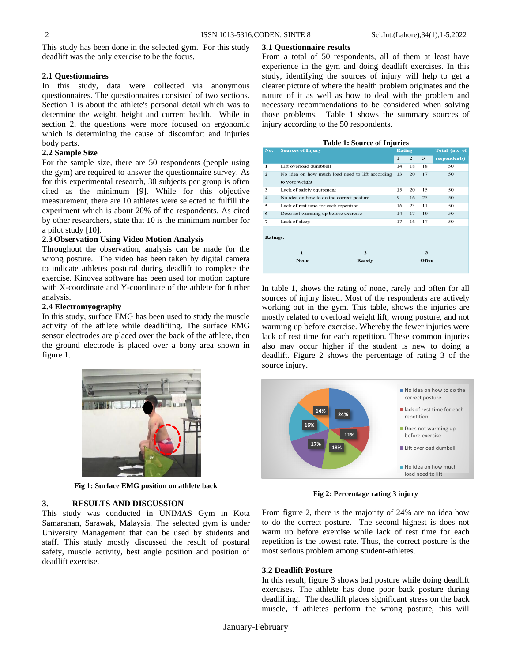**3.1 Questionnaire results**

This study has been done in the selected gym. For this study deadlift was the only exercise to be the focus.

# **2.1 Questionnaires**

In this study, data were collected via anonymous questionnaires. The questionnaires consisted of two sections. Section 1 is about the athlete's personal detail which was to determine the weight, height and current health. While in section 2, the questions were more focused on ergonomic which is determining the cause of discomfort and injuries body parts.

# **2.2 Sample Size**

For the sample size, there are 50 respondents (people using the gym) are required to answer the questionnaire survey. As for this experimental research, 30 subjects per group is often cited as the minimum [9]. While for this objective measurement, there are 10 athletes were selected to fulfill the experiment which is about 20% of the respondents. As cited by other researchers, state that 10 is the minimum number for a pilot study [10].

# **2.3 Observation Using Video Motion Analysis**

Throughout the observation, analysis can be made for the wrong posture. The video has been taken by digital camera to indicate athletes postural during deadlift to complete the exercise. Kinovea software has been used for motion capture with X-coordinate and Y-coordinate of the athlete for further analysis.

# **2.4 Electromyography**

In this study, surface EMG has been used to study the muscle activity of the athlete while deadlifting. The surface EMG sensor electrodes are placed over the back of the athlete, then the ground electrode is placed over a bony area shown in figure 1.



**Fig 1: Surface EMG position on athlete back**

# **3. RESULTS AND DISCUSSION**

This study was conducted in UNIMAS Gym in Kota Samarahan, Sarawak, Malaysia. The selected gym is under University Management that can be used by students and staff. This study mostly discussed the result of postural safety, muscle activity, best angle position and position of deadlift exercise.

From a total of 50 respondents, all of them at least have experience in the gym and doing deadlift exercises. In this study, identifying the sources of injury will help to get a clearer picture of where the health problem originates and the nature of it as well as how to deal with the problem and necessary recommendations to be considered when solving those problems. Table 1 shows the summary sources of injury according to the 50 respondents.

#### **Table 1: Source of Injuries**

| No.                     | <b>Sources of Injury</b>                        |              | <b>Rating</b> |       | Total (no. of |  |
|-------------------------|-------------------------------------------------|--------------|---------------|-------|---------------|--|
|                         |                                                 | $\mathbf{1}$ | 2             | 3     | respondents)  |  |
| $\mathbf{1}$            | Lift overload dumbbell                          | 14           | 18            | 18    | 50            |  |
| $\overline{2}$          | No idea on how much load need to lift according | 13           | 20            | 17    | 50            |  |
|                         | to your weight                                  |              |               |       |               |  |
| 3                       | Lack of safety equipment                        | 15           | 20            | 15    | 50            |  |
| $\overline{\mathbf{4}}$ | No idea on how to do the correct posture        | 9            | 16            | 25    | 50            |  |
| 5                       | Lack of rest time for each repetition           | 16           | 23            | 11    | 50            |  |
| 6                       | Does not warming up before exercise             | 14           | 17            | 19    | 50            |  |
| 7                       | Lack of sleep                                   | 17           | 16            | 17    | 50            |  |
| <b>Ratings:</b>         |                                                 |              |               |       |               |  |
|                         | $\overline{\mathbf{c}}$<br>1                    |              |               | 3     |               |  |
|                         | None<br>Rarely                                  |              |               | Often |               |  |

In table 1, shows the rating of none, rarely and often for all sources of injury listed. Most of the respondents are actively working out in the gym. This table, shows the injuries are mostly related to overload weight lift, wrong posture, and not warming up before exercise. Whereby the fewer injuries were lack of rest time for each repetition. These common injuries also may occur higher if the student is new to doing a deadlift. Figure 2 shows the percentage of rating 3 of the source injury.



**Fig 2: Percentage rating 3 injury**

From figure 2, there is the majority of 24% are no idea how to do the correct posture. The second highest is does not warm up before exercise while lack of rest time for each repetition is the lowest rate. Thus, the correct posture is the most serious problem among student-athletes.

# **3.2 Deadlift Posture**

In this result, figure 3 shows bad posture while doing deadlift exercises. The athlete has done poor back posture during deadlifting. The deadlift places significant stress on the back muscle, if athletes perform the wrong posture, this will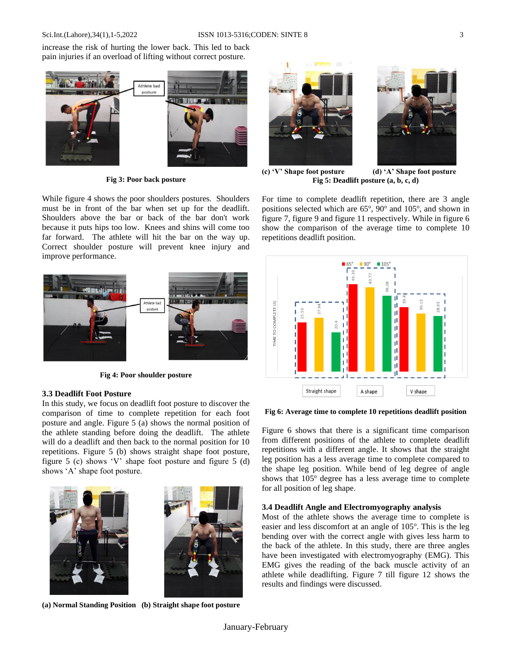increase the risk of hurting the lower back. This led to back pain injuries if an overload of lifting without correct posture.



**Fig 3: Poor back posture**

While figure 4 shows the poor shoulders postures. Shoulders must be in front of the bar when set up for the deadlift. Shoulders above the bar or back of the bar don't work because it puts hips too low. Knees and shins will come too far forward. The athlete will hit the bar on the way up. Correct shoulder posture will prevent knee injury and improve performance.



**Fig 4: Poor shoulder posture**

### **3.3 Deadlift Foot Posture**

In this study, we focus on deadlift foot posture to discover the comparison of time to complete repetition for each foot posture and angle. Figure 5 (a) shows the normal position of the athlete standing before doing the deadlift. The athlete will do a deadlift and then back to the normal position for 10 repetitions. Figure 5 (b) shows straight shape foot posture, figure 5 (c) shows 'V' shape foot posture and figure 5 (d) shows 'A' shape foot posture.



**(a) Normal Standing Position (b) Straight shape foot posture**





**(c) 'V' Shape foot posture (d) 'A' Shape foot posture**

**Fig 5: Deadlift posture (a, b, c, d)**

For time to complete deadlift repetition, there are 3 angle positions selected which are 65°, 90° and 105°, and shown in figure 7, figure 9 and figure 11 respectively. While in figure 6 show the comparison of the average time to complete 10 repetitions deadlift position.



**Fig 6: Average time to complete 10 repetitions deadlift position**

Figure 6 shows that there is a significant time comparison from different positions of the athlete to complete deadlift repetitions with a different angle. It shows that the straight leg position has a less average time to complete compared to the shape leg position. While bend of leg degree of angle shows that  $105^{\circ}$  degree has a less average time to complete for all position of leg shape.

### **3.4 Deadlift Angle and Electromyography analysis**

Most of the athlete shows the average time to complete is easier and less discomfort at an angle of 105°. This is the leg bending over with the correct angle with gives less harm to the back of the athlete. In this study, there are three angles have been investigated with electromyography (EMG). This EMG gives the reading of the back muscle activity of an athlete while deadlifting. Figure 7 till figure 12 shows the results and findings were discussed.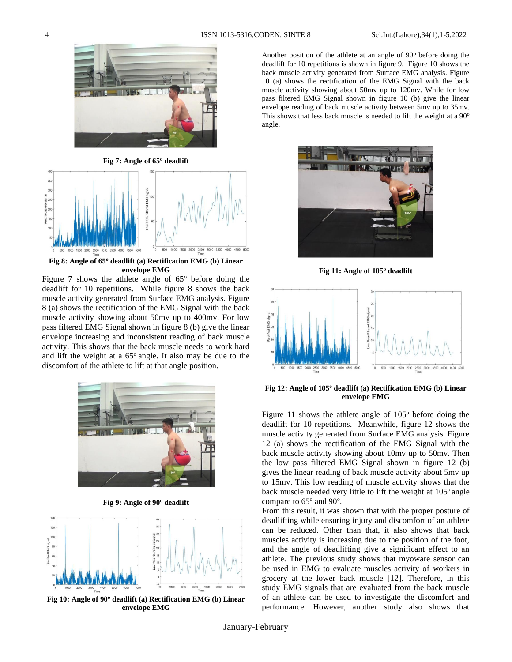

**Fig 7: Angle of 65<sup>o</sup> deadlift**



**Fig 8: Angle of 65<sup>o</sup> deadlift (a) Rectification EMG (b) Linear envelope EMG** 

Figure 7 shows the athlete angle of  $65^\circ$  before doing the deadlift for 10 repetitions. While figure 8 shows the back muscle activity generated from Surface EMG analysis. Figure 8 (a) shows the rectification of the EMG Signal with the back muscle activity showing about 50mv up to 400mv. For low pass filtered EMG Signal shown in figure 8 (b) give the linear envelope increasing and inconsistent reading of back muscle activity. This shows that the back muscle needs to work hard and lift the weight at a  $65^\circ$  angle. It also may be due to the discomfort of the athlete to lift at that angle position.



**Fig 9: Angle of 90<sup>o</sup> deadlift**



**Fig 10: Angle of 90<sup>o</sup> deadlift (a) Rectification EMG (b) Linear envelope EMG** 

Another position of the athlete at an angle of  $90^\circ$  before doing the deadlift for 10 repetitions is shown in figure 9. Figure 10 shows the back muscle activity generated from Surface EMG analysis. Figure 10 (a) shows the rectification of the EMG Signal with the back muscle activity showing about 50mv up to 120mv. While for low pass filtered EMG Signal shown in figure 10 (b) give the linear envelope reading of back muscle activity between 5mv up to 35mv. This shows that less back muscle is needed to lift the weight at a  $90^\circ$ angle.



**Fig 11: Angle of 105<sup>o</sup> deadlift**



**Fig 12: Angle of 105<sup>o</sup> deadlift (a) Rectification EMG (b) Linear envelope EMG** 

Figure 11 shows the athlete angle of  $105^{\circ}$  before doing the deadlift for 10 repetitions. Meanwhile, figure 12 shows the muscle activity generated from Surface EMG analysis. Figure 12 (a) shows the rectification of the EMG Signal with the back muscle activity showing about 10mv up to 50mv. Then the low pass filtered EMG Signal shown in figure 12 (b) gives the linear reading of back muscle activity about 5mv up to 15mv. This low reading of muscle activity shows that the back muscle needed very little to lift the weight at 105° angle compare to 65° and 90°.

From this result, it was shown that with the proper posture of deadlifting while ensuring injury and discomfort of an athlete can be reduced. Other than that, it also shows that back muscles activity is increasing due to the position of the foot, and the angle of deadlifting give a significant effect to an athlete. The previous study shows that myoware sensor can be used in EMG to evaluate muscles activity of workers in grocery at the lower back muscle [12]. Therefore, in this study EMG signals that are evaluated from the back muscle of an athlete can be used to investigate the discomfort and performance. However, another study also shows that